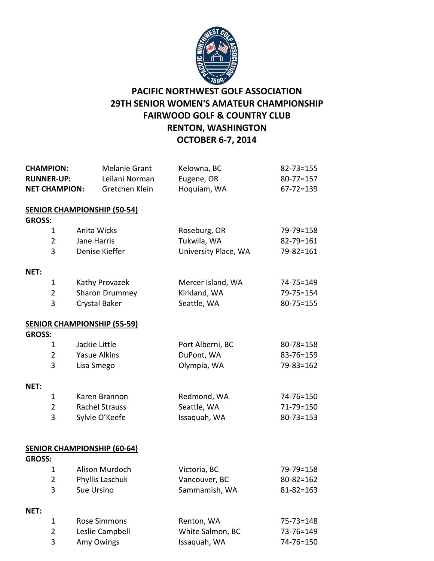

## **PACIFIC NORTHWEST GOLF ASSOCIATION 29TH SENIOR WOMEN'S AMATEUR CHAMPIONSHIP FAIRWOOD GOLF & COUNTRY CLUB RENTON, WASHINGTON OCTOBER 6-7, 2014**

| <b>CHAMPION:</b><br><b>RUNNER-UP:</b><br><b>NET CHAMPION:</b> | <b>Melanie Grant</b><br>Leilani Norman<br>Gretchen Klein | Kelowna, BC<br>Eugene, OR<br>Hoquiam, WA | $82 - 73 = 155$<br>$80 - 77 = 157$<br>$67 - 72 = 139$ |
|---------------------------------------------------------------|----------------------------------------------------------|------------------------------------------|-------------------------------------------------------|
|                                                               | <b>SENIOR CHAMPIONSHIP (50-54)</b>                       |                                          |                                                       |
| <b>GROSS:</b>                                                 | Anita Wicks                                              |                                          |                                                       |
| $\mathbf{1}$<br>$\overline{2}$                                | Jane Harris                                              | Roseburg, OR<br>Tukwila, WA              | 79-79=158                                             |
| 3                                                             | Denise Kieffer                                           | University Place, WA                     | 82-79=161<br>$79 - 82 = 161$                          |
| NET:                                                          |                                                          |                                          |                                                       |
| $\mathbf{1}$                                                  | Kathy Provazek                                           | Mercer Island, WA                        | 74-75=149                                             |
| $\overline{2}$                                                | Sharon Drummey                                           | Kirkland, WA                             | $79 - 75 = 154$                                       |
| 3                                                             | Crystal Baker                                            | Seattle, WA                              | $80 - 75 = 155$                                       |
|                                                               | <b>SENIOR CHAMPIONSHIP (55-59)</b>                       |                                          |                                                       |
| <b>GROSS:</b>                                                 |                                                          |                                          |                                                       |
| 1                                                             | Jackie Little                                            | Port Alberni, BC                         | 80-78=158                                             |
| $\overline{2}$                                                | <b>Yasue Alkins</b>                                      | DuPont, WA                               | 83-76=159                                             |
| 3                                                             | Lisa Smego                                               | Olympia, WA                              | 79-83=162                                             |
| NET:                                                          |                                                          |                                          |                                                       |
| $\mathbf{1}$                                                  | Karen Brannon                                            | Redmond, WA                              | 74-76=150                                             |
| $\overline{2}$                                                | <b>Rachel Strauss</b>                                    | Seattle, WA                              | 71-79=150                                             |
| 3                                                             | Sylvie O'Keefe                                           | Issaquah, WA                             | $80 - 73 = 153$                                       |
|                                                               | <b>SENIOR CHAMPIONSHIP (60-64)</b>                       |                                          |                                                       |
| <b>GROSS:</b>                                                 |                                                          |                                          |                                                       |
| 1                                                             | Alison Murdoch                                           | Victoria, BC                             | 79-79=158                                             |
| 2                                                             | Phyllis Laschuk                                          | Vancouver, BC                            | $80 - 82 = 162$                                       |
| 3                                                             | Sue Ursino                                               | Sammamish, WA                            | $81 - 82 = 163$                                       |
| NET:                                                          |                                                          |                                          |                                                       |
| $\mathbf 1$                                                   | <b>Rose Simmons</b>                                      | Renton, WA                               | $75 - 73 = 148$                                       |
| $\overline{2}$                                                | Leslie Campbell                                          | White Salmon, BC                         | 73-76=149                                             |
| 3                                                             | Amy Owings                                               | Issaquah, WA                             | 74-76=150                                             |